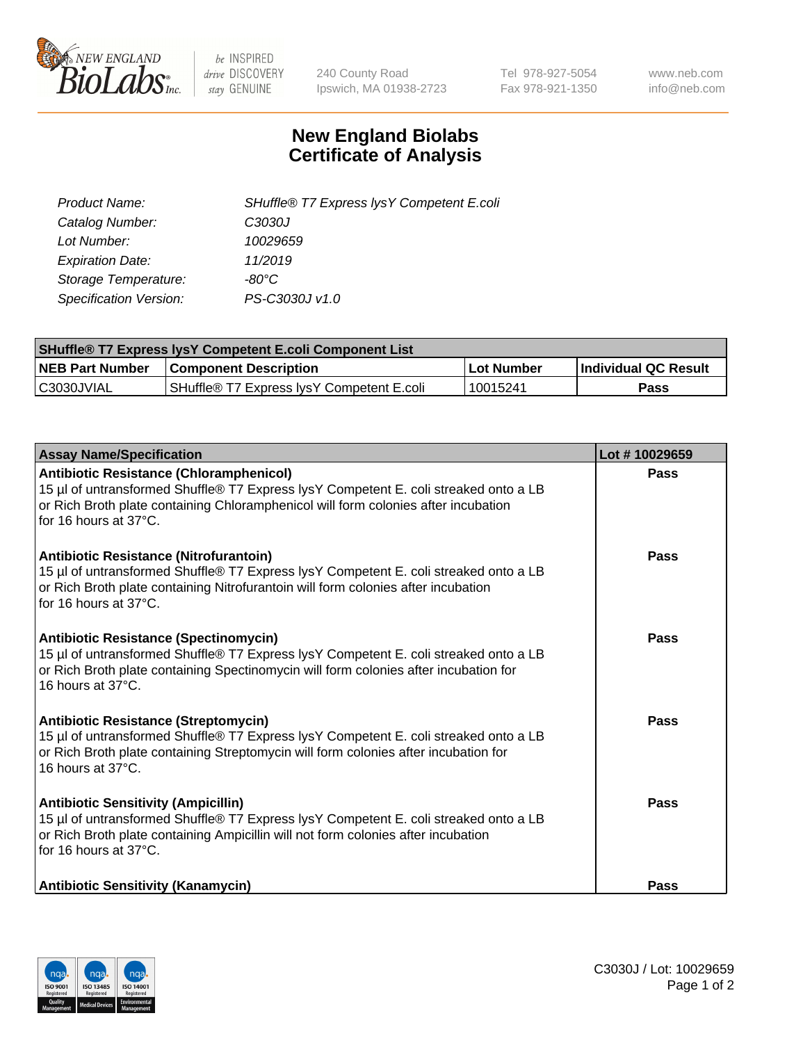

 $be$  INSPIRED drive DISCOVERY stay GENUINE

240 County Road Ipswich, MA 01938-2723 Tel 978-927-5054 Fax 978-921-1350 www.neb.com info@neb.com

## **New England Biolabs Certificate of Analysis**

| Product Name:                 | SHuffle® T7 Express lysY Competent E.coli |
|-------------------------------|-------------------------------------------|
| Catalog Number:               | C3030J                                    |
| Lot Number:                   | 10029659                                  |
| <b>Expiration Date:</b>       | 11/2019                                   |
| Storage Temperature:          | -80°C                                     |
| <b>Specification Version:</b> | PS-C3030J v1.0                            |

| <b>SHuffle® T7 Express lysY Competent E.coli Component List</b> |                                           |                   |                             |  |
|-----------------------------------------------------------------|-------------------------------------------|-------------------|-----------------------------|--|
| <b>NEB Part Number</b>                                          | <b>Component Description</b>              | <b>Lot Number</b> | <b>Individual QC Result</b> |  |
| C3030JVIAL                                                      | SHuffle® T7 Express IysY Competent E.coli | 10015241          | Pass                        |  |

| <b>Assay Name/Specification</b>                                                                                                                                                                                                                       | Lot #10029659 |
|-------------------------------------------------------------------------------------------------------------------------------------------------------------------------------------------------------------------------------------------------------|---------------|
| <b>Antibiotic Resistance (Chloramphenicol)</b><br>15 µl of untransformed Shuffle® T7 Express lysY Competent E. coli streaked onto a LB<br>or Rich Broth plate containing Chloramphenicol will form colonies after incubation<br>for 16 hours at 37°C. | <b>Pass</b>   |
| Antibiotic Resistance (Nitrofurantoin)<br>15 µl of untransformed Shuffle® T7 Express lysY Competent E. coli streaked onto a LB<br>or Rich Broth plate containing Nitrofurantoin will form colonies after incubation<br>for 16 hours at 37°C.          | Pass          |
| <b>Antibiotic Resistance (Spectinomycin)</b><br>15 µl of untransformed Shuffle® T7 Express lysY Competent E. coli streaked onto a LB<br>or Rich Broth plate containing Spectinomycin will form colonies after incubation for<br>16 hours at 37°C.     | Pass          |
| <b>Antibiotic Resistance (Streptomycin)</b><br>15 µl of untransformed Shuffle® T7 Express lysY Competent E. coli streaked onto a LB<br>or Rich Broth plate containing Streptomycin will form colonies after incubation for<br>16 hours at 37°C.       | Pass          |
| <b>Antibiotic Sensitivity (Ampicillin)</b><br>15 µl of untransformed Shuffle® T7 Express lysY Competent E. coli streaked onto a LB<br>or Rich Broth plate containing Ampicillin will not form colonies after incubation<br>for 16 hours at 37°C.      | Pass          |
| <b>Antibiotic Sensitivity (Kanamycin)</b>                                                                                                                                                                                                             | Pass          |